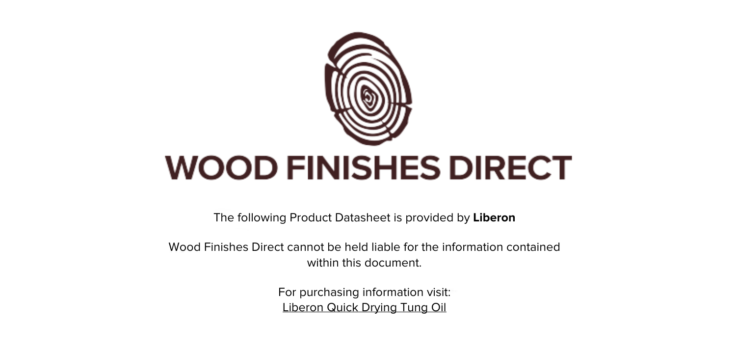

The following Product Datasheet is provided by **Liberon**

Wood Finishes Direct cannot be held liable for the information contained within this document

> For purchasing information visit: [Liberon Quick Drying Tung Oil](https://www.wood-finishes-direct.com/product/liberon-quick-drying-tung-oil)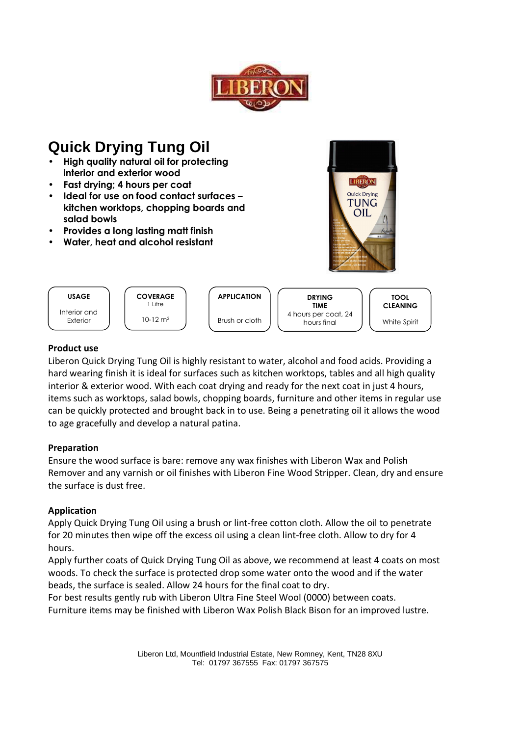



# **Product use**

Liberon Quick Drying Tung Oil is highly resistant to water, alcohol and food acids. Providing a hard wearing finish it is ideal for surfaces such as kitchen worktops, tables and all high quality interior & exterior wood. With each coat drying and ready for the next coat in just 4 hours, items such as worktops, salad bowls, chopping boards, furniture and other items in regular use can be quickly protected and brought back in to use. Being a penetrating oil it allows the wood to age gracefully and develop a natural patina.

#### Preparation

Ensure the wood surface is bare: remove any wax finishes with Liberon Wax and Polish Remover and any varnish or oil finishes with Liberon Fine Wood Stripper. Clean, dry and ensure the surface is dust free.

#### **Application**

Apply Quick Drying Tung Oil using a brush or lint-free cotton cloth. Allow the oil to penetrate for 20 minutes then wipe off the excess oil using a clean lint-free cloth. Allow to dry for 4 hours.

Apply further coats of Quick Drying Tung Oil as above, we recommend at least 4 coats on most woods. To check the surface is protected drop some water onto the wood and if the water beads, the surface is sealed. Allow 24 hours for the final coat to dry.

For best results gently rub with Liberon Ultra Fine Steel Wool (0000) between coats. Furniture items may be finished with Liberon Wax Polish Black Bison for an improved lustre.